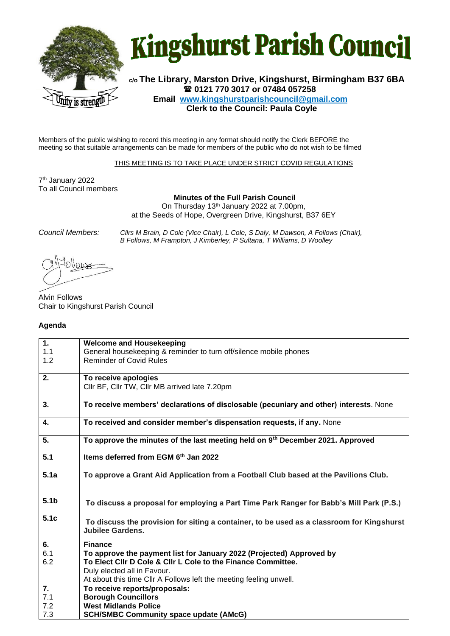



**c/o The Library, Marston Drive, Kingshurst, Birmingham B37 6BA 0121 770 3017 or 07484 057258 Email www.kingshurstparishcouncil@gmail.com Clerk to the Council: Paula Coyle**

Members of the public wishing to record this meeting in any format should notify the Clerk BEFORE the meeting so that suitable arrangements can be made for members of the public who do not wish to be filmed

THIS MEETING IS TO TAKE PLACE UNDER STRICT COVID REGULATIONS

7 th January 2022 To all Council members

**Minutes of the Full Parish Council**

On Thursday 13<sup>th</sup> January 2022 at 7.00pm, at the Seeds of Hope, Overgreen Drive, Kingshurst, B37 6EY

*Council Members: Cllrs M Brain, D Cole (Vice Chair), L Cole, S Daly, M Dawson, A Follows (Chair), B Follows, M Frampton, J Kimberley, P Sultana, T Williams, D Woolley*

Alvin Follows Chair to Kingshurst Parish Council

## **Agenda**

| 1.               | <b>Welcome and Housekeeping</b>                                                           |
|------------------|-------------------------------------------------------------------------------------------|
| 1.1              | General housekeeping & reminder to turn off/silence mobile phones                         |
| 1.2              | <b>Reminder of Covid Rules</b>                                                            |
|                  |                                                                                           |
| 2.               | To receive apologies                                                                      |
|                  | Cllr BF, Cllr TW, Cllr MB arrived late 7.20pm                                             |
|                  |                                                                                           |
| 3.               | To receive members' declarations of disclosable (pecuniary and other) interests. None     |
| 4.               | To received and consider member's dispensation requests, if any. None                     |
| 5.               | To approve the minutes of the last meeting held on 9th December 2021. Approved            |
|                  |                                                                                           |
| 5.1              | Items deferred from EGM 6th Jan 2022                                                      |
|                  |                                                                                           |
| 5.1a             | To approve a Grant Aid Application from a Football Club based at the Pavilions Club.      |
|                  |                                                                                           |
|                  |                                                                                           |
| 5.1 <sub>b</sub> | To discuss a proposal for employing a Part Time Park Ranger for Babb's Mill Park (P.S.)   |
|                  |                                                                                           |
| 5.1 <sub>c</sub> | To discuss the provision for siting a container, to be used as a classroom for Kingshurst |
|                  | <b>Jubilee Gardens.</b>                                                                   |
| 6.               | <b>Finance</b>                                                                            |
| 6.1              | To approve the payment list for January 2022 (Projected) Approved by                      |
| 6.2              | To Elect Cllr D Cole & Cllr L Cole to the Finance Committee.                              |
|                  | Duly elected all in Favour.                                                               |
|                  | At about this time CIIr A Follows left the meeting feeling unwell.                        |
| 7.               | To receive reports/proposals:                                                             |
| 7.1              | <b>Borough Councillors</b>                                                                |
| 7.2              | <b>West Midlands Police</b>                                                               |
| 7.3              | <b>SCH/SMBC Community space update (AMcG)</b>                                             |